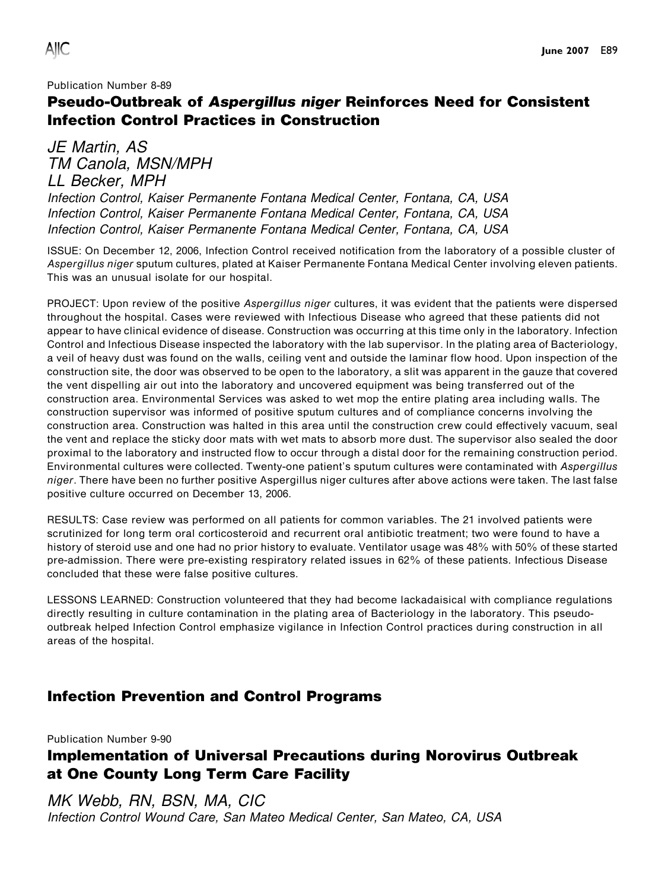#### Publication Number 8-89

## Pseudo-Outbreak of Aspergillus niger Reinforces Need for Consistent Infection Control Practices in Construction

JE Martin, AS TM Canola, MSN/MPH LL Becker, MPH

Infection Control, Kaiser Permanente Fontana Medical Center, Fontana, CA, USA Infection Control, Kaiser Permanente Fontana Medical Center, Fontana, CA, USA Infection Control, Kaiser Permanente Fontana Medical Center, Fontana, CA, USA

ISSUE: On December 12, 2006, Infection Control received notification from the laboratory of a possible cluster of Aspergillus niger sputum cultures, plated at Kaiser Permanente Fontana Medical Center involving eleven patients. This was an unusual isolate for our hospital.

PROJECT: Upon review of the positive Aspergillus niger cultures, it was evident that the patients were dispersed throughout the hospital. Cases were reviewed with Infectious Disease who agreed that these patients did not appear to have clinical evidence of disease. Construction was occurring at this time only in the laboratory. Infection Control and Infectious Disease inspected the laboratory with the lab supervisor. In the plating area of Bacteriology, a veil of heavy dust was found on the walls, ceiling vent and outside the laminar flow hood. Upon inspection of the construction site, the door was observed to be open to the laboratory, a slit was apparent in the gauze that covered the vent dispelling air out into the laboratory and uncovered equipment was being transferred out of the construction area. Environmental Services was asked to wet mop the entire plating area including walls. The construction supervisor was informed of positive sputum cultures and of compliance concerns involving the construction area. Construction was halted in this area until the construction crew could effectively vacuum, seal the vent and replace the sticky door mats with wet mats to absorb more dust. The supervisor also sealed the door proximal to the laboratory and instructed flow to occur through a distal door for the remaining construction period. Environmental cultures were collected. Twenty-one patient's sputum cultures were contaminated with Aspergillus niger. There have been no further positive Aspergillus niger cultures after above actions were taken. The last false positive culture occurred on December 13, 2006.

RESULTS: Case review was performed on all patients for common variables. The 21 involved patients were scrutinized for long term oral corticosteroid and recurrent oral antibiotic treatment; two were found to have a history of steroid use and one had no prior history to evaluate. Ventilator usage was 48% with 50% of these started pre-admission. There were pre-existing respiratory related issues in 62% of these patients. Infectious Disease concluded that these were false positive cultures.

LESSONS LEARNED: Construction volunteered that they had become lackadaisical with compliance regulations directly resulting in culture contamination in the plating area of Bacteriology in the laboratory. This pseudooutbreak helped Infection Control emphasize vigilance in Infection Control practices during construction in all areas of the hospital.

### Infection Prevention and Control Programs

Publication Number 9-90

# Implementation of Universal Precautions during Norovirus Outbreak at One County Long Term Care Facility

MK Webb, RN, BSN, MA, CIC Infection Control Wound Care, San Mateo Medical Center, San Mateo, CA, USA